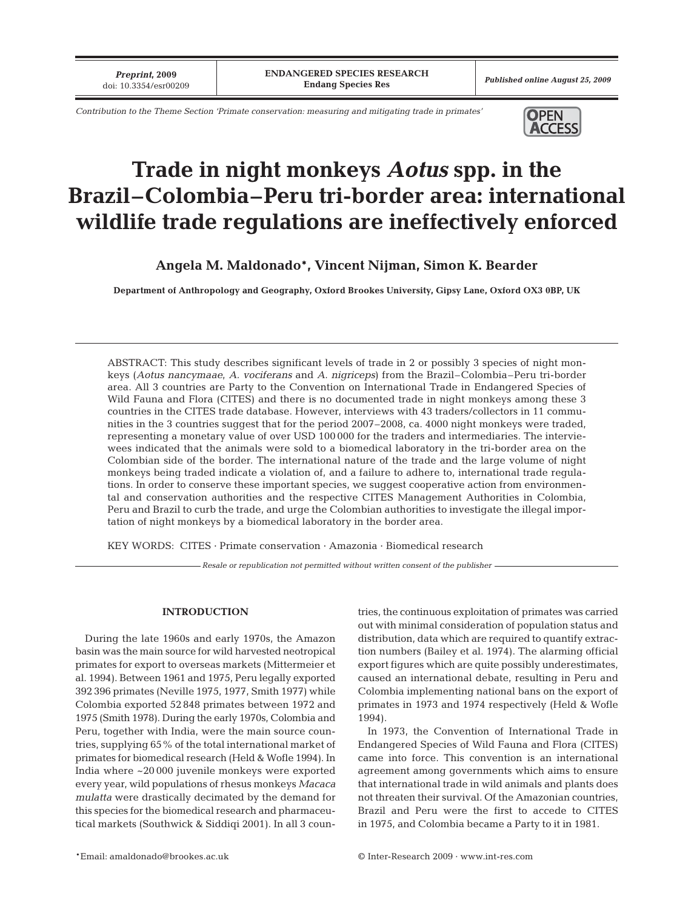*Preprint***, 2009**

*Contribution to the Theme Section 'Primate conservation: measuring and mitigating trade in primates'* **OPEN** 



# **Trade in night monkeys** *Aotus* **spp. in the Brazil–Colombia–Peru tri-border area: international wildlife trade regulations are ineffectively enforced**

**Angela M. Maldonado\*, Vincent Nijman, Simon K. Bearder**

**Department of Anthropology and Geography, Oxford Brookes University, Gipsy Lane, Oxford OX3 0BP, UK**

ABSTRACT: This study describes significant levels of trade in 2 or possibly 3 species of night monkeys (*Aotus nancymaae*, *A. vociferans* and *A. nigriceps*) from the Brazil–Colombia–Peru tri-border area. All 3 countries are Party to the Convention on International Trade in Endangered Species of Wild Fauna and Flora (CITES) and there is no documented trade in night monkeys among these 3 countries in the CITES trade database. However, interviews with 43 traders/collectors in 11 communities in the 3 countries suggest that for the period 2007–2008, ca. 4000 night monkeys were traded, representing a monetary value of over USD 100 000 for the traders and intermediaries. The interviewees indicated that the animals were sold to a biomedical laboratory in the tri-border area on the Colombian side of the border. The international nature of the trade and the large volume of night monkeys being traded indicate a violation of, and a failure to adhere to, international trade regulations. In order to conserve these important species, we suggest cooperative action from environmental and conservation authorities and the respective CITES Management Authorities in Colombia, Peru and Brazil to curb the trade, and urge the Colombian authorities to investigate the illegal importation of night monkeys by a biomedical laboratory in the border area.

KEY WORDS: CITES · Primate conservation · Amazonia · Biomedical research

*Resale or republication not permitted without written consent of the publisher*

## **INTRODUCTION**

During the late 1960s and early 1970s, the Amazon basin was the main source for wild harvested neotropical primates for export to overseas markets (Mittermeier et al. 1994). Between 1961 and 1975, Peru legally exported 392 396 primates (Neville 1975, 1977, Smith 1977) while Colombia exported 52 848 primates between 1972 and 1975 (Smith 1978). During the early 1970s, Colombia and Peru, together with India, were the main source countries, supplying 65% of the total international market of primates for biomedical research (Held & Wofle 1994). In India where ~20 000 juvenile monkeys were exported every year, wild populations of rhesus monkeys *Macaca mulatta* were drastically decimated by the demand for this species for the biomedical research and pharmaceutical markets (Southwick & Siddiqi 2001). In all 3 countries, the continuous exploitation of primates was carried out with minimal consideration of population status and distribution, data which are required to quantify extraction numbers (Bailey et al. 1974). The alarming official export figures which are quite possibly underestimates, caused an international debate, resulting in Peru and Colombia implementing national bans on the export of primates in 1973 and 1974 respectively (Held & Wofle 1994).

In 1973, the Convention of International Trade in Endangered Species of Wild Fauna and Flora (CITES) came into force. This convention is an international agreement among governments which aims to ensure that international trade in wild animals and plants does not threaten their survival. Of the Amazonian countries, Brazil and Peru were the first to accede to CITES in 1975, and Colombia became a Party to it in 1981.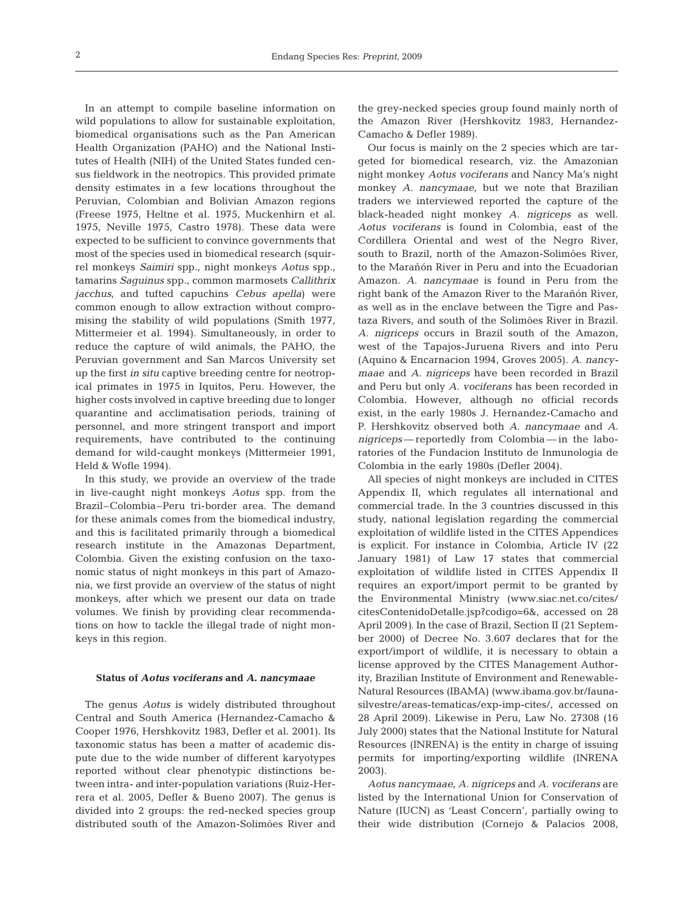In an attempt to compile baseline information on wild populations to allow for sustainable exploitation, biomedical organisations such as the Pan American Health Organization (PAHO) and the National Institutes of Health (NIH) of the United States funded census fieldwork in the neotropics. This provided primate density estimates in a few locations throughout the Peruvian, Colombian and Bolivian Amazon regions (Freese 1975, Heltne et al. 1975, Muckenhirn et al. 1975, Neville 1975, Castro 1978). These data were expected to be sufficient to convince governments that most of the species used in biomedical research (squirrel monkeys *Saimiri* spp., night monkeys *Aotus* spp., tamarins *Saguinus* spp., common marmosets *Callithrix jacchus*, and tufted capuchins *Cebus apella*) were common enough to allow extraction without compromising the stability of wild populations (Smith 1977, Mittermeier et al. 1994). Simultaneously, in order to reduce the capture of wild animals, the PAHO, the Peruvian government and San Marcos University set up the first *in situ* captive breeding centre for neotropical primates in 1975 in Iquitos, Peru. However, the higher costs involved in captive breeding due to longer quarantine and acclimatisation periods, training of personnel, and more stringent transport and import requirements, have contributed to the continuing demand for wild-caught monkeys (Mittermeier 1991, Held & Wofle 1994).

In this study, we provide an overview of the trade in live-caught night monkeys *Aotus* spp. from the Brazil–Colombia–Peru tri-border area. The demand for these animals comes from the biomedical industry, and this is facilitated primarily through a biomedical research institute in the Amazonas Department, Colombia. Given the existing confusion on the taxonomic status of night monkeys in this part of Amazonia, we first provide an overview of the status of night monkeys, after which we present our data on trade volumes. We finish by providing clear recommendations on how to tackle the illegal trade of night monkeys in this region.

#### **Status of** *Aotus vociferans* **and** *A. nancymaae*

The genus *Aotus* is widely distributed throughout Central and South America (Hernandez-Camacho & Cooper 1976, Hershkovitz 1983, Defler et al. 2001). Its taxonomic status has been a matter of academic dispute due to the wide number of different karyotypes reported without clear phenotypic distinctions between intra- and inter-population variations (Ruiz-Herrera et al. 2005, Defler & Bueno 2007). The genus is divided into 2 groups: the red-necked species group distributed south of the Amazon-Solimões River and

the grey-necked species group found mainly north of the Amazon River (Hershkovitz 1983, Hernandez-Camacho & Defler 1989).

Our focus is mainly on the 2 species which are targeted for biomedical research, viz. the Amazonian night monkey *Aotus vociferans* and Nancy Ma's night monkey *A. nancymaae*, but we note that Brazilian traders we interviewed reported the capture of the black-headed night monkey *A. nigriceps* as well. *Aotus vociferans* is found in Colombia, east of the Cordillera Oriental and west of the Negro River, south to Brazil, north of the Amazon-Solimões River, to the Marañón River in Peru and into the Ecuadorian Amazon. *A. nancymaae* is found in Peru from the right bank of the Amazon River to the Marañón River, as well as in the enclave between the Tigre and Pastaza Rivers, and south of the Solimões River in Brazil. *A. nigriceps* occurs in Brazil south of the Amazon, west of the Tapajos-Juruena Rivers and into Peru (Aquino & Encarnacion 1994, Groves 2005). *A. nancymaae* and *A. nigriceps* have been recorded in Brazil and Peru but only *A. vociferans* has been recorded in Colombia. However, although no official records exist, in the early 1980s J. Hernandez-Camacho and P. Hershkovitz observed both *A. nancymaae* and *A. nigriceps*— reportedly from Colombia — in the laboratories of the Fundacion Instituto de Inmunologia de Colombia in the early 1980s (Defler 2004).

All species of night monkeys are included in CITES Appendix II, which regulates all international and commercial trade. In the 3 countries discussed in this study, national legislation regarding the commercial exploitation of wildlife listed in the CITES Appendices is explicit. For instance in Colombia, Article IV (22 January 1981) of Law 17 states that commercial exploitation of wildlife listed in CITES Appendix II requires an export/import permit to be granted by the Environmental Ministry (www.siac.net.co/cites/ citesContenidoDetalle.jsp?codigo=6&, accessed on 28 April 2009*)*. In the case of Brazil, Section II (21 September 2000) of Decree No. 3.607 declares that for the export/import of wildlife, it is necessary to obtain a license approved by the CITES Management Authority, Brazilian Institute of Environment and Renewable-Natural Resources (IBAMA) (www.ibama.gov.br/faunasilvestre/areas-tematicas/exp-imp-cites/, accessed on 28 April 2009). Likewise in Peru, Law No. 27308 (16 July 2000) states that the National Institute for Natural Resources (INRENA) is the entity in charge of issuing permits for importing/exporting wildlife (INRENA 2003).

*Aotus nancymaae*, *A. nigriceps* and *A. vociferans* are listed by the International Union for Conservation of Nature (IUCN) as 'Least Concern', partially owing to their wide distribution (Cornejo & Palacios 2008,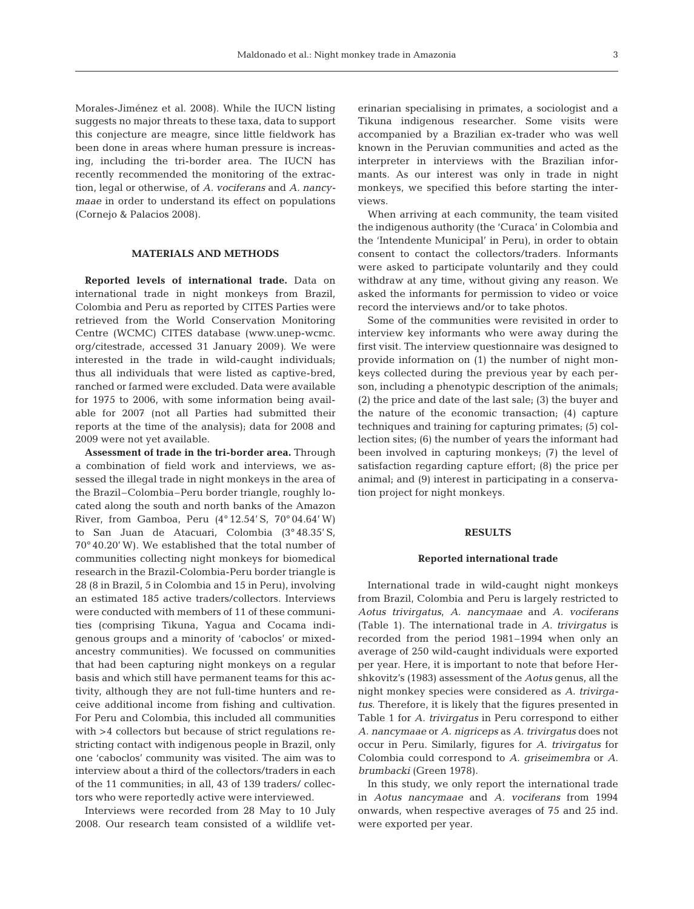Morales-Jiménez et al. 2008). While the IUCN listing suggests no major threats to these taxa, data to support this conjecture are meagre, since little fieldwork has been done in areas where human pressure is increasing, including the tri-border area. The IUCN has recently recommended the monitoring of the extrac-

tion, legal or otherwise, of *A. vociferans* and *A. nancymaae* in order to understand its effect on populations (Cornejo & Palacios 2008).

## **MATERIALS AND METHODS**

**Reported levels of international trade.** Data on international trade in night monkeys from Brazil, Colombia and Peru as reported by CITES Parties were retrieved from the World Conservation Monitoring Centre (WCMC) CITES database (www.unep-wcmc. org/citestrade, accessed 31 January 2009*).* We were interested in the trade in wild-caught individuals; thus all individuals that were listed as captive-bred, ranched or farmed were excluded. Data were available for 1975 to 2006, with some information being available for 2007 (not all Parties had submitted their reports at the time of the analysis); data for 2008 and 2009 were not yet available.

**Assessment of trade in the tri-border area.** Through a combination of field work and interviews, we assessed the illegal trade in night monkeys in the area of the Brazil–Colombia–Peru border triangle, roughly located along the south and north banks of the Amazon River, from Gamboa, Peru (4° 12.54' S, 70° 04.64' W) to San Juan de Atacuari, Colombia (3° 48.35' S, 70° 40.20' W). We established that the total number of communities collecting night monkeys for biomedical research in the Brazil-Colombia-Peru border triangle is 28 (8 in Brazil, 5 in Colombia and 15 in Peru), involving an estimated 185 active traders/collectors. Interviews were conducted with members of 11 of these communities (comprising Tikuna, Yagua and Cocama indigenous groups and a minority of 'caboclos' or mixedancestry communities). We focussed on communities that had been capturing night monkeys on a regular basis and which still have permanent teams for this activity, although they are not full-time hunters and receive additional income from fishing and cultivation. For Peru and Colombia, this included all communities with >4 collectors but because of strict regulations restricting contact with indigenous people in Brazil, only one 'caboclos' community was visited. The aim was to interview about a third of the collectors/traders in each of the 11 communities; in all, 43 of 139 traders/ collectors who were reportedly active were interviewed.

Interviews were recorded from 28 May to 10 July 2008. Our research team consisted of a wildlife veterinarian specialising in primates, a sociologist and a Tikuna indigenous researcher. Some visits were accompanied by a Brazilian ex-trader who was well known in the Peruvian communities and acted as the interpreter in interviews with the Brazilian informants. As our interest was only in trade in night monkeys, we specified this before starting the interviews.

When arriving at each community, the team visited the indigenous authority (the 'Curaca' in Colombia and the 'Intendente Municipal' in Peru), in order to obtain consent to contact the collectors/traders. Informants were asked to participate voluntarily and they could withdraw at any time, without giving any reason. We asked the informants for permission to video or voice record the interviews and/or to take photos.

Some of the communities were revisited in order to interview key informants who were away during the first visit. The interview questionnaire was designed to provide information on (1) the number of night monkeys collected during the previous year by each person, including a phenotypic description of the animals; (2) the price and date of the last sale; (3) the buyer and the nature of the economic transaction; (4) capture techniques and training for capturing primates; (5) collection sites; (6) the number of years the informant had been involved in capturing monkeys; (7) the level of satisfaction regarding capture effort; (8) the price per animal; and (9) interest in participating in a conservation project for night monkeys.

### **RESULTS**

#### **Reported international trade**

International trade in wild-caught night monkeys from Brazil, Colombia and Peru is largely restricted to *Aotus trivirgatus*, *A. nancymaae* and *A. vociferans* (Table 1). The international trade in *A. trivirgatus* is recorded from the period 1981–1994 when only an average of 250 wild-caught individuals were exported per year. Here, it is important to note that before Hershkovitz's (1983) assessment of the *Aotus* genus, all the night monkey species were considered as *A. trivirgatus*. Therefore, it is likely that the figures presented in Table 1 for *A. trivirgatus* in Peru correspond to either *A. nancymaae* or *A. nigriceps* as *A. trivirgatus* does not occur in Peru. Similarly, figures for *A. trivirgatus* for Colombia could correspond to *A. griseimembra* or *A. brumbacki* (Green 1978).

In this study, we only report the international trade in *Aotus nancymaae* and *A. vociferans* from 1994 onwards, when respective averages of 75 and 25 ind. were exported per year.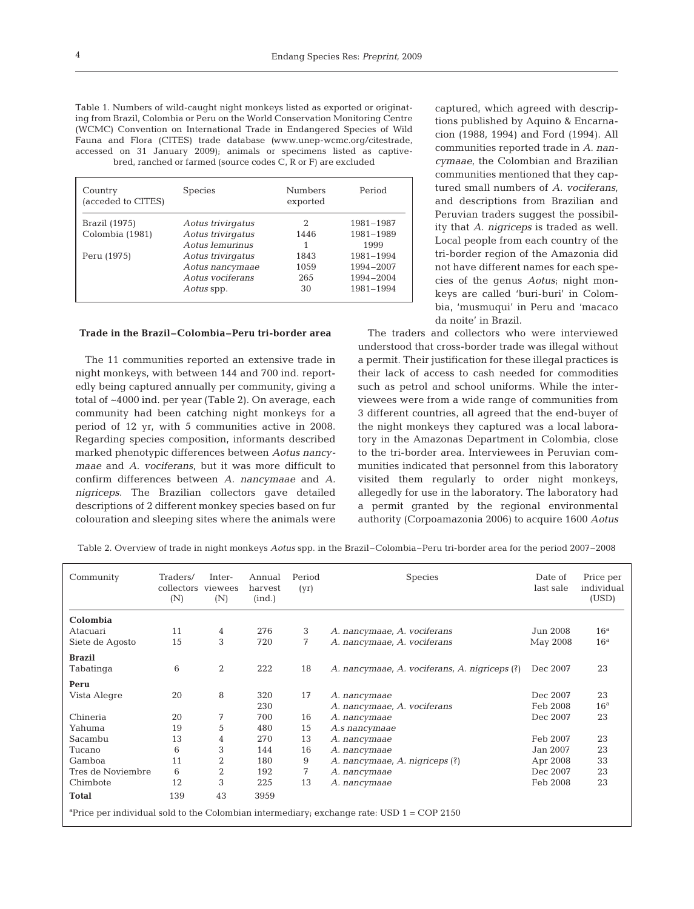| ing from Brazil, Colombia or Peru on the World Conservation Monitoring Centre<br>(WCMC) Convention on International Trade in Endangered Species of Wild<br>Fauna and Flora (CITES) trade database (www.unep-wcmc.org/citestrade,<br>accessed on 31 January 2009); animals or specimens listed as captive-<br>bred, ranched or farmed (source codes C, R or F) are excluded | Table 1. Numbers of wild-caught night monkeys listed as exported or originat- |
|----------------------------------------------------------------------------------------------------------------------------------------------------------------------------------------------------------------------------------------------------------------------------------------------------------------------------------------------------------------------------|-------------------------------------------------------------------------------|
|                                                                                                                                                                                                                                                                                                                                                                            |                                                                               |
|                                                                                                                                                                                                                                                                                                                                                                            |                                                                               |
|                                                                                                                                                                                                                                                                                                                                                                            |                                                                               |
|                                                                                                                                                                                                                                                                                                                                                                            |                                                                               |
|                                                                                                                                                                                                                                                                                                                                                                            |                                                                               |

| Country<br>(acceded to CITES) | <b>Species</b>    | <b>Numbers</b><br>exported | Period    |
|-------------------------------|-------------------|----------------------------|-----------|
| Brazil (1975)                 | Aotus trivirgatus | 2                          | 1981-1987 |
| Colombia (1981)               | Aotus trivirgatus | 1446                       | 1981-1989 |
|                               | Aotus lemurinus   |                            | 1999      |
| Peru (1975)                   | Aotus trivirgatus | 1843                       | 1981-1994 |
|                               | Aotus nancymaae   | 1059                       | 1994-2007 |
|                               | Aotus vociferans  | 265                        | 1994-2004 |
|                               | Aotus spp.        | 30                         | 1981-1994 |

## **Trade in the Brazil–Colombia–Peru tri-border area**

The 11 communities reported an extensive trade in night monkeys, with between 144 and 700 ind. reportedly being captured annually per community, giving a total of ~4000 ind. per year (Table 2). On average, each community had been catching night monkeys for a period of 12 yr, with 5 communities active in 2008. Regarding species composition, informants described marked phenotypic differences between *Aotus nancymaae* and *A. vociferans*, but it was more difficult to confirm differences between *A. nancymaae* and *A. nigriceps*. The Brazilian collectors gave detailed descriptions of 2 different monkey species based on fur colouration and sleeping sites where the animals were

captured, which agreed with descriptions published by Aquino & Encarnacion (1988, 1994) and Ford (1994). All communities reported trade in *A. nancymaae*, the Colombian and Brazilian communities mentioned that they captured small numbers of *A. vociferans*, and descriptions from Brazilian and Peruvian traders suggest the possibility that *A. nigriceps* is traded as well. Local people from each country of the tri-border region of the Amazonia did not have different names for each species of the genus *Aotus*; night monkeys are called 'buri-buri' in Colombia, 'musmuqui' in Peru and 'macaco da noite' in Brazil.

The traders and collectors who were interviewed understood that cross-border trade was illegal without a permit. Their justification for these illegal practices is their lack of access to cash needed for commodities such as petrol and school uniforms. While the interviewees were from a wide range of communities from 3 different countries, all agreed that the end-buyer of the night monkeys they captured was a local laboratory in the Amazonas Department in Colombia, close to the tri-border area. Interviewees in Peruvian communities indicated that personnel from this laboratory visited them regularly to order night monkeys, allegedly for use in the laboratory. The laboratory had a permit granted by the regional environmental authority (Corpoamazonia 2006) to acquire 1600 *Aotus*

Table 2. Overview of trade in night monkeys *Aotus* spp. in the Brazil–Colombia–Peru tri-border area for the period 2007–2008

| Community                                                                                               | Traders/<br>collectors viewees<br>(N) | Inter-<br>(N)  | Annual<br>harvest<br>(ind.) | Period<br>(yr) | <b>Species</b>                                | Date of<br>last sale | Price per<br>individual<br>(USD) |  |  |
|---------------------------------------------------------------------------------------------------------|---------------------------------------|----------------|-----------------------------|----------------|-----------------------------------------------|----------------------|----------------------------------|--|--|
| Colombia                                                                                                |                                       |                |                             |                |                                               |                      |                                  |  |  |
| Atacuari                                                                                                | 11                                    | 4              | 276                         | 3              | A. nancymaae, A. vociferans                   | Jun 2008             | 16 <sup>a</sup>                  |  |  |
| Siete de Agosto                                                                                         | 15                                    | 3              | 720                         | 7              | A. nancymaae, A. vociferans                   | May 2008             | 16 <sup>a</sup>                  |  |  |
| <b>Brazil</b>                                                                                           |                                       |                |                             |                |                                               |                      |                                  |  |  |
| Tabatinga                                                                                               | 6                                     | $\overline{2}$ | 222                         | 18             | A. nancymaae, A. vociferans, A. nigriceps (?) | Dec 2007             | 23                               |  |  |
| Peru                                                                                                    |                                       |                |                             |                |                                               |                      |                                  |  |  |
| Vista Alegre                                                                                            | 20                                    | 8              | 320                         | 17             | A. nancymaae                                  | Dec 2007             | 23                               |  |  |
|                                                                                                         |                                       |                | 230                         |                | A. nancymaae, A. vociferans                   | Feb 2008             | 16 <sup>a</sup>                  |  |  |
| Chineria                                                                                                | 20                                    | 7              | 700                         | 16             | A. nancymaae                                  | Dec 2007             | 23                               |  |  |
| Yahuma                                                                                                  | 19                                    | 5              | 480                         | 15             | A.s nancymaae                                 |                      |                                  |  |  |
| Sacambu                                                                                                 | 13                                    | 4              | 270                         | 13             | A. nancymaae                                  | Feb 2007             | 23                               |  |  |
| Tucano                                                                                                  | 6                                     | 3              | 144                         | 16             | A. nancymaae                                  | Jan 2007             | 23                               |  |  |
| Gamboa                                                                                                  | 11                                    | $\overline{2}$ | 180                         | 9              | A. nancymaae, A. nigriceps (?)                | Apr 2008             | 33                               |  |  |
| Tres de Noviembre                                                                                       | 6                                     | $\overline{2}$ | 192                         | 7              | A. nancymaae                                  | Dec 2007             | 23                               |  |  |
| Chimbote                                                                                                | 12                                    | 3              | 225                         | 13             | A. nancymaae                                  | Feb 2008             | 23                               |  |  |
| <b>Total</b>                                                                                            | 139                                   | 43             | 3959                        |                |                                               |                      |                                  |  |  |
| <sup>a</sup> Price per individual sold to the Colombian intermediary; exchange rate: USD $1 = COP$ 2150 |                                       |                |                             |                |                                               |                      |                                  |  |  |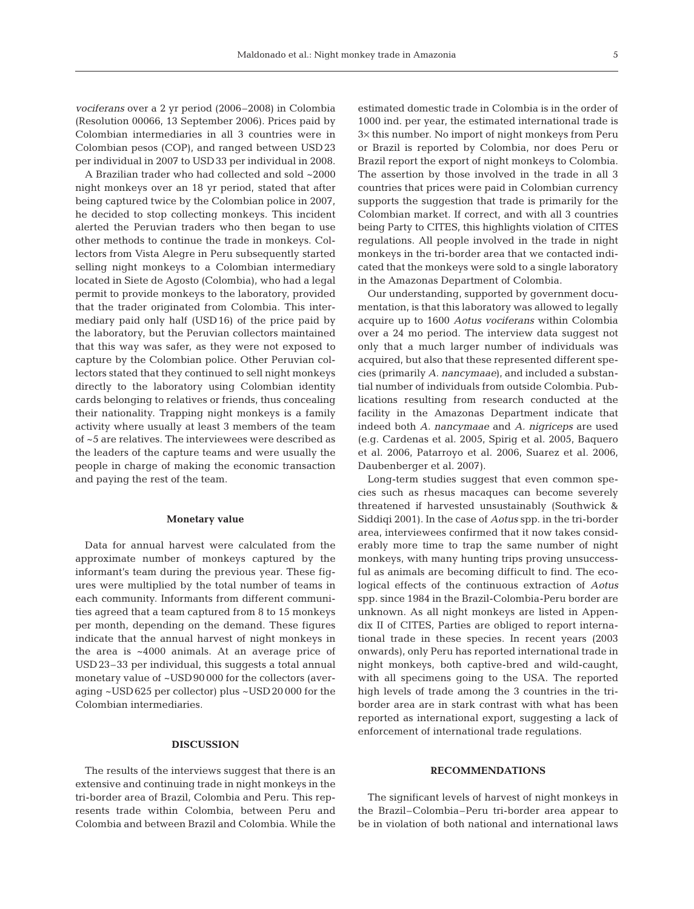*vociferans* over a 2 yr period (2006–2008) in Colombia (Resolution 00066, 13 September 2006). Prices paid by Colombian intermediaries in all 3 countries were in Colombian pesos (COP), and ranged between USD23 per individual in 2007 to USD33 per individual in 2008.

A Brazilian trader who had collected and sold ~2000 night monkeys over an 18 yr period, stated that after being captured twice by the Colombian police in 2007, he decided to stop collecting monkeys. This incident alerted the Peruvian traders who then began to use other methods to continue the trade in monkeys. Collectors from Vista Alegre in Peru subsequently started selling night monkeys to a Colombian intermediary located in Siete de Agosto (Colombia), who had a legal permit to provide monkeys to the laboratory, provided that the trader originated from Colombia. This intermediary paid only half (USD16) of the price paid by the laboratory, but the Peruvian collectors maintained that this way was safer, as they were not exposed to capture by the Colombian police. Other Peruvian collectors stated that they continued to sell night monkeys directly to the laboratory using Colombian identity cards belonging to relatives or friends, thus concealing their nationality. Trapping night monkeys is a family activity where usually at least 3 members of the team of ~5 are relatives. The interviewees were described as the leaders of the capture teams and were usually the people in charge of making the economic transaction and paying the rest of the team.

#### **Monetary value**

Data for annual harvest were calculated from the approximate number of monkeys captured by the informant's team during the previous year. These figures were multiplied by the total number of teams in each community. Informants from different communities agreed that a team captured from 8 to 15 monkeys per month, depending on the demand. These figures indicate that the annual harvest of night monkeys in the area is ~4000 animals. At an average price of USD23–33 per individual, this suggests a total annual monetary value of ~USD90 000 for the collectors (averaging ~USD625 per collector) plus ~USD20 000 for the Colombian intermediaries.

## **DISCUSSION**

The results of the interviews suggest that there is an extensive and continuing trade in night monkeys in the tri-border area of Brazil, Colombia and Peru. This represents trade within Colombia, between Peru and Colombia and between Brazil and Colombia. While the estimated domestic trade in Colombia is in the order of 1000 ind. per year, the estimated international trade is 3× this number. No import of night monkeys from Peru or Brazil is reported by Colombia, nor does Peru or Brazil report the export of night monkeys to Colombia. The assertion by those involved in the trade in all 3 countries that prices were paid in Colombian currency supports the suggestion that trade is primarily for the Colombian market. If correct, and with all 3 countries being Party to CITES, this highlights violation of CITES regulations. All people involved in the trade in night monkeys in the tri-border area that we contacted indicated that the monkeys were sold to a single laboratory in the Amazonas Department of Colombia.

Our understanding, supported by government documentation, is that this laboratory was allowed to legally acquire up to 1600 *Aotus vociferans* within Colombia over a 24 mo period. The interview data suggest not only that a much larger number of individuals was acquired, but also that these represented different species (primarily *A. nancymaae*), and included a substantial number of individuals from outside Colombia. Publications resulting from research conducted at the facility in the Amazonas Department indicate that indeed both *A. nancymaae* and *A. nigriceps* are used (e.g. Cardenas et al. 2005, Spirig et al. 2005, Baquero et al. 2006, Patarroyo et al. 2006, Suarez et al. 2006, Daubenberger et al. 2007).

Long-term studies suggest that even common species such as rhesus macaques can become severely threatened if harvested unsustainably (Southwick & Siddiqi 2001). In the case of *Aotus* spp. in the tri-border area, interviewees confirmed that it now takes considerably more time to trap the same number of night monkeys, with many hunting trips proving unsuccessful as animals are becoming difficult to find. The ecological effects of the continuous extraction of *Aotus* spp. since 1984 in the Brazil-Colombia-Peru border are unknown. As all night monkeys are listed in Appendix II of CITES, Parties are obliged to report international trade in these species. In recent years (2003 onwards), only Peru has reported international trade in night monkeys, both captive-bred and wild-caught, with all specimens going to the USA. The reported high levels of trade among the 3 countries in the triborder area are in stark contrast with what has been reported as international export, suggesting a lack of enforcement of international trade regulations.

## **RECOMMENDATIONS**

The significant levels of harvest of night monkeys in the Brazil–Colombia–Peru tri-border area appear to be in violation of both national and international laws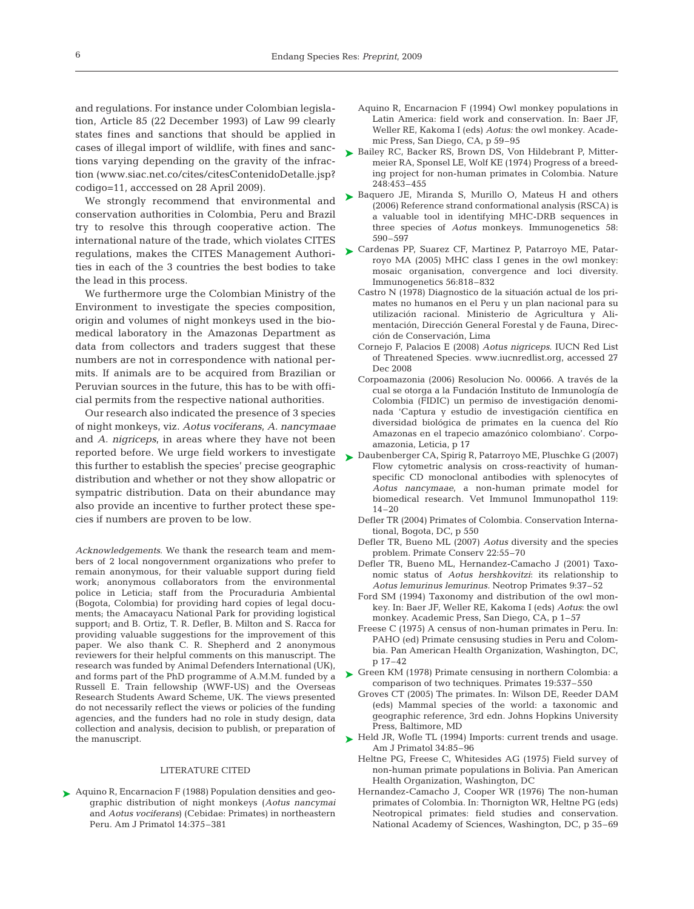and regulations. For instance under Colombian legislation, Article 85 (22 December 1993) of Law 99 clearly states fines and sanctions that should be applied in cases of illegal import of wildlife, with fines and sanctions varying depending on the gravity of the infraction (www.siac.net.co/cites/citesContenidoDetalle.jsp? codigo=11, acccessed on 28 April 2009).

We strongly recommend that environmental and conservation authorities in Colombia, Peru and Brazil try to resolve this through cooperative action. The international nature of the trade, which violates CITES regulations, makes the CITES Management Authorities in each of the 3 countries the best bodies to take the lead in this process.

We furthermore urge the Colombian Ministry of the Environment to investigate the species composition, origin and volumes of night monkeys used in the biomedical laboratory in the Amazonas Department as data from collectors and traders suggest that these numbers are not in correspondence with national permits. If animals are to be acquired from Brazilian or Peruvian sources in the future, this has to be with official permits from the respective national authorities.

Our research also indicated the presence of 3 species of night monkeys, viz. *Aotus vociferans*, *A. nancymaae* and *A. nigriceps*, in areas where they have not been reported before. We urge field workers to investigate <br>
→ Daubenberger CA, Spirig R, Patarroyo ME, Pluschke G (2007) this further to establish the species' precise geographic distribution and whether or not they show allopatric or sympatric distribution. Data on their abundance may also provide an incentive to further protect these species if numbers are proven to be low.

*Acknowledgements*. We thank the research team and members of 2 local nongovernment organizations who prefer to remain anonymous, for their valuable support during field work; anonymous collaborators from the environmental police in Leticia; staff from the Procuraduria Ambiental (Bogota, Colombia) for providing hard copies of legal documents; the Amacayacu National Park for providing logistical support; and B. Ortiz, T. R. Defler, B. Milton and S. Racca for providing valuable suggestions for the improvement of this paper. We also thank C. R. Shepherd and 2 anonymous reviewers for their helpful comments on this manuscript. The research was funded by Animal Defenders International (UK), and forms part of the PhD programme of A.M.M. funded by a Russell E. Train fellowship (WWF-US) and the Overseas Research Students Award Scheme, UK. The views presented do not necessarily reflect the views or policies of the funding agencies, and the funders had no role in study design, data collection and analysis, decision to publish, or preparation of the manuscript.

#### LITERATURE CITED

▶ Aquino R, Encarnacion F (1988) Population densities and geographic distribution of night monkeys (*Aotus nancymai* and *Aotus vociferans*) (Cebidae: Primates) in northeastern Peru. Am J Primatol 14:375–381

- Aquino R, Encarnacion F (1994) Owl monkey populations in Latin America: field work and conservation. In: Baer JF, Weller RE, Kakoma I (eds) *Aotus:* the owl monkey. Academic Press, San Diego, CA, p 59–95
- ► Bailey RC, Backer RS, Brown DS, Von Hildebrant P, Mittermeier RA, Sponsel LE, Wolf KE (1974) Progress of a breeding project for non-human primates in Colombia. Nature 248:453–455
- ► Baquero JE, Miranda S, Murillo O, Mateus H and others (2006) Reference strand conformational analysis (RSCA) is a valuable tool in identifying MHC-DRB sequences in three species of *Aotus* monkeys. Immunogenetics 58: 590–597
- ► Cardenas PP, Suarez CF, Martinez P, Patarroyo ME, Patarroyo MA (2005) MHC class I genes in the owl monkey: mosaic organisation, convergence and loci diversity. Immunogenetics 56:818–832
	- Castro N (1978) Diagnostico de la situación actual de los primates no humanos en el Peru y un plan nacional para su utilización racional. Ministerio de Agricultura y Alimentación, Dirección General Forestal y de Fauna, Dirección de Conservación, Lima
	- Cornejo F, Palacios E (2008) *Aotus nigriceps*. IUCN Red List of Threatened Species. www.iucnredlist.org, accessed 27 Dec 2008
	- Corpoamazonia (2006) Resolucion No. 00066. A través de la cual se otorga a la Fundación Instituto de Inmunología de Colombia (FIDIC) un permiso de investigación denominada 'Captura y estudio de investigación científica en diversidad biológica de primates en la cuenca del Río Amazonas en el trapecio amazónico colombiano'. Corpoamazonia, Leticia, p 17
	- Flow cytometric analysis on cross-reactivity of humanspecific CD monoclonal antibodies with splenocytes of *Aotus nancymaae*, a non-human primate model for biomedical research. Vet Immunol Immunopathol 119: 14–20
	- Defler TR (2004) Primates of Colombia. Conservation International, Bogota, DC, p 550
	- Defler TR, Bueno ML (2007) *Aotus* diversity and the species problem. Primate Conserv 22:55–70
	- Defler TR, Bueno ML, Hernandez-Camacho J (2001) Taxonomic status of *Aotus hershkovitzi*: its relationship to *Aotus lemurinus lemurinus.* Neotrop Primates 9:37–52
	- Ford SM (1994) Taxonomy and distribution of the owl monkey. In: Baer JF, Weller RE, Kakoma I (eds) *Aotus*: the owl monkey. Academic Press, San Diego, CA, p 1–57
	- Freese C (1975) A census of non-human primates in Peru. In: PAHO (ed) Primate censusing studies in Peru and Colombia. Pan American Health Organization, Washington, DC, p 17–42
- Green KM (1978) Primate censusing in northern Colombia: a comparison of two techniques. Primates 19:537–550 ➤
	- Groves CT (2005) The primates. In: Wilson DE, Reeder DAM (eds) Mammal species of the world: a taxonomic and geographic reference, 3rd edn. Johns Hopkins University Press, Baltimore, MD
- ► Held JR, Wofle TL (1994) Imports: current trends and usage. Am J Primatol 34:85–96
	- Heltne PG, Freese C, Whitesides AG (1975) Field survey of non-human primate populations in Bolivia. Pan American Health Organization, Washington, DC
	- Hernandez-Camacho J, Cooper WR (1976) The non-human primates of Colombia. In: Thornigton WR, Heltne PG (eds) Neotropical primates: field studies and conservation. National Academy of Sciences, Washington, DC, p 35–69